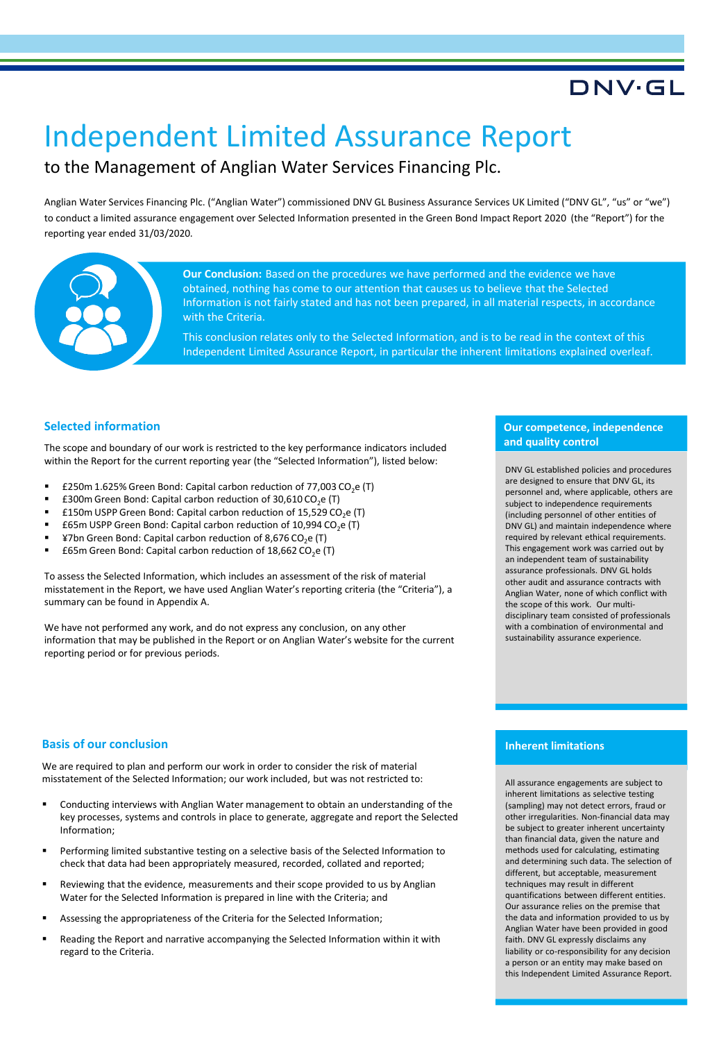### DNV.GL

# Independent Limited Assurance Report

### to the Management of Anglian Water Services Financing Plc.

Anglian Water Services Financing Plc. ("Anglian Water") commissioned DNV GL Business Assurance Services UK Limited ("DNV GL", "us" or "we") to conduct a limited assurance engagement over Selected Information presented in the Green Bond Impact Report 2020 (the "Report") for the reporting year ended 31/03/2020.



**Our Conclusion:** Based on the procedures we have performed and the evidence we have obtained, nothing has come to our attention that causes us to believe that the Selected Information is not fairly stated and has not been prepared, in all material respects, in accordance with the Criteria.

This conclusion relates only to the Selected Information, and is to be read in the context of this Independent Limited Assurance Report, in particular the inherent limitations explained overleaf.

#### **Selected information**

The scope and boundary of our work is restricted to the key performance indicators included within the Report for the current reporting year (the "Selected Information"), listed below:

- £250m 1.625% Green Bond: Capital carbon reduction of 77,003 CO<sub>2</sub>e (T)
- £300m Green Bond: Capital carbon reduction of 30,610 CO<sub>2</sub>e (T)
- £150m USPP Green Bond: Capital carbon reduction of 15,529 CO<sub>2</sub>e (T)
- £65m USPP Green Bond: Capital carbon reduction of 10,994 CO<sub>2</sub>e (T)
- ¥7bn Green Bond: Capital carbon reduction of 8,676 CO<sub>2</sub>e (T)<br>■ £65m Green Bond: Capital carbon reduction of 18,662 CO e (
- £65m Green Bond: Capital carbon reduction of 18,662 CO<sub>2</sub>e (T)

To assess the Selected Information, which includes an assessment of the risk of material misstatement in the Report, we have used Anglian Water's reporting criteria (the "Criteria"), a summary can be found in Appendix A.

We have not performed any work, and do not express any conclusion, on any other information that may be published in the Report or on Anglian Water's website for the current reporting period or for previous periods.

#### **Our competence, independence and quality control**

DNV GL established policies and procedures are designed to ensure that DNV GL, its personnel and, where applicable, others are subject to independence requirements (including personnel of other entities of DNV GL) and maintain independence where required by relevant ethical requirements. This engagement work was carried out by an independent team of sustainability assurance professionals. DNV GL holds other audit and assurance contracts with Anglian Water, none of which conflict with the scope of this work. Our multidisciplinary team consisted of professionals with a combination of environmental and sustainability assurance experience.

#### **Basis of our conclusion**

We are required to plan and perform our work in order to consider the risk of material misstatement of the Selected Information; our work included, but was not restricted to:

- Conducting interviews with Anglian Water management to obtain an understanding of the key processes, systems and controls in place to generate, aggregate and report the Selected Information;
- Performing limited substantive testing on a selective basis of the Selected Information to check that data had been appropriately measured, recorded, collated and reported;
- Reviewing that the evidence, measurements and their scope provided to us by Anglian Water for the Selected Information is prepared in line with the Criteria; and
- Assessing the appropriateness of the Criteria for the Selected Information;
- Reading the Report and narrative accompanying the Selected Information within it with regard to the Criteria.

#### **Inherent limitations**

All assurance engagements are subject to inherent limitations as selective testing (sampling) may not detect errors, fraud or other irregularities. Non-financial data may be subject to greater inherent uncertainty than financial data, given the nature and methods used for calculating, estimating and determining such data. The selection of different, but acceptable, measurement techniques may result in different quantifications between different entities. Our assurance relies on the premise that the data and information provided to us by Anglian Water have been provided in good faith. DNV GL expressly disclaims any liability or co-responsibility for any decision a person or an entity may make based on this Independent Limited Assurance Report.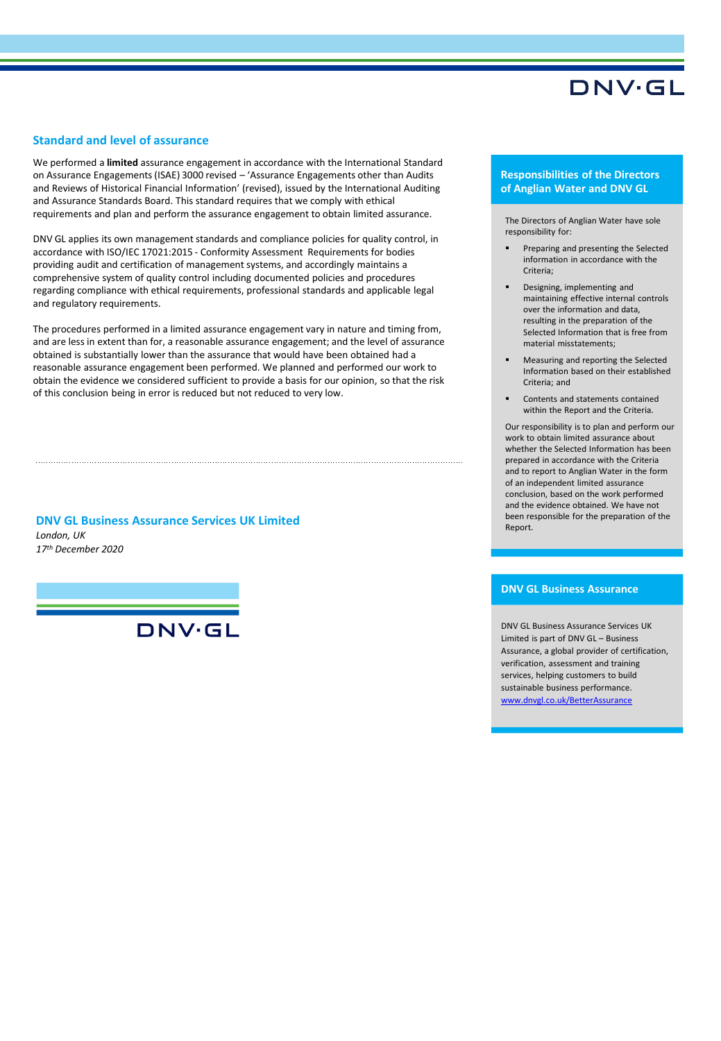### DNV·GL

#### **Standard and level of assurance**

We performed a **limited** assurance engagement in accordance with the International Standard on Assurance Engagements (ISAE) 3000 revised – 'Assurance Engagements other than Audits and Reviews of Historical Financial Information' (revised), issued by the International Auditing and Assurance Standards Board. This standard requires that we comply with ethical requirements and plan and perform the assurance engagement to obtain limited assurance.

DNV GL applies its own management standards and compliance policies for quality control, in accordance with ISO/IEC 17021:2015 - Conformity Assessment Requirements for bodies providing audit and certification of management systems, and accordingly maintains a comprehensive system of quality control including documented policies and procedures regarding compliance with ethical requirements, professional standards and applicable legal and regulatory requirements.

The procedures performed in a limited assurance engagement vary in nature and timing from, and are less in extent than for, a reasonable assurance engagement; and the level of assurance obtained is substantially lower than the assurance that would have been obtained had a reasonable assurance engagement been performed. We planned and performed our work to obtain the evidence we considered sufficient to provide a basis for our opinion, so that the risk of this conclusion being in error is reduced but not reduced to very low.

*London, UK 17th December 2020* **DNV GL Business Assurance Services UK Limited**

DNV·GL

#### **Responsibilities of the Directors of Anglian Water and DNV GL**

The Directors of Anglian Water have sole responsibility for:

- Preparing and presenting the Selected information in accordance with the Criteria;
- Designing, implementing and maintaining effective internal controls over the information and data, resulting in the preparation of the Selected Information that is free from material misstatements;
- Measuring and reporting the Selected Information based on their established Criteria; and
- Contents and statements contained within the Report and the Criteria.

Our responsibility is to plan and perform our work to obtain limited assurance about whether the Selected Information has been prepared in accordance with the Criteria and to report to Anglian Water in the form of an independent limited assurance conclusion, based on the work performed and the evidence obtained. We have not been responsible for the preparation of the Report.

#### **DNV GL Business Assurance**

DNV GL Business Assurance Services UK Limited is part of DNV GL – Business Assurance, a global provider of certification, verification, assessment and training services, helping customers to build sustainable business performance. [www.dnvgl.co.uk/BetterAssurance](http://www.dnvgl.co.uk/BetterAssurance)